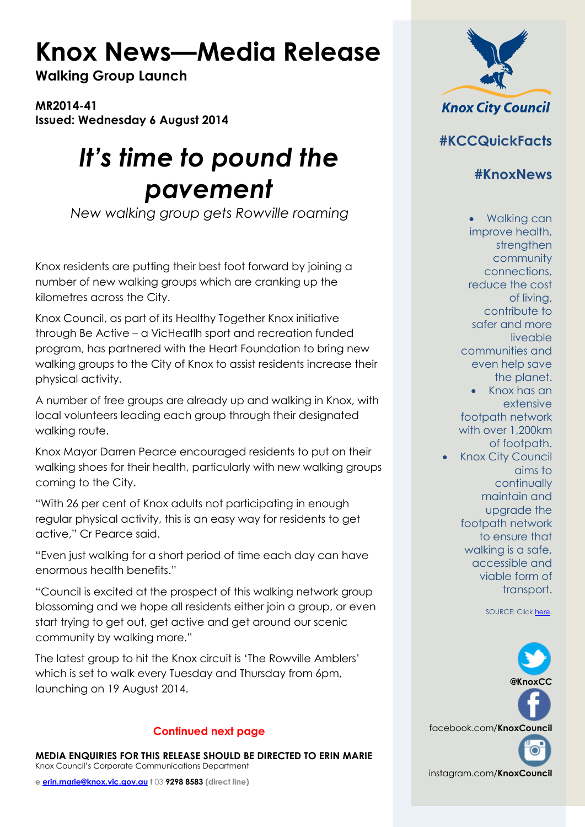## **Knox News—Media Release**

**Walking Group Launch**

**MR2014-41 Issued: Wednesday 6 August 2014**

## *It's time to pound the pavement*

*New walking group gets Rowville roaming*

Knox residents are putting their best foot forward by joining a number of new walking groups which are cranking up the kilometres across the City.

Knox Council, as part of its Healthy Together Knox initiative through Be Active – a VicHeatlh sport and recreation funded program, has partnered with the Heart Foundation to bring new walking groups to the City of Knox to assist residents increase their physical activity.

A number of free groups are already up and walking in Knox, with local volunteers leading each group through their designated walking route.

Knox Mayor Darren Pearce encouraged residents to put on their walking shoes for their health, particularly with new walking groups coming to the City.

"With 26 per cent of Knox adults not participating in enough regular physical activity, this is an easy way for residents to get active," Cr Pearce said.

"Even just walking for a short period of time each day can have enormous health benefits."

"Council is excited at the prospect of this walking network group blossoming and we hope all residents either join a group, or even start trying to get out, get active and get around our scenic community by walking more."

The latest group to hit the Knox circuit is 'The Rowville Amblers' which is set to walk every Tuesday and Thursday from 6pm, launching on 19 August 2014.

## **Continued next page**

**MEDIA ENQUIRIES FOR THIS RELEASE SHOULD BE DIRECTED TO ERIN MARIE** Knox Council's Corporate Communications Department

**e [erin.marie@knox.vic.gov.au](mailto:erin.marie@knox.vic.gov.au) t** 03 **9298 8583 (direct line)**



**#KCCQuickFacts**

**#KnoxNews**

• Walking can improve health, strengthen community connections, reduce the cost of living, contribute to safer and more liveable communities and even help save the planet. • Knox has an extensive footpath network with over 1,200km of footpath. **Knox City Council** aims to continually

maintain and upgrade the footpath network to ensure that walking is a safe, accessible and viable form of transport.

SOURCE: Clic[k here.](http://www.knox.vic.gov.au/walking)